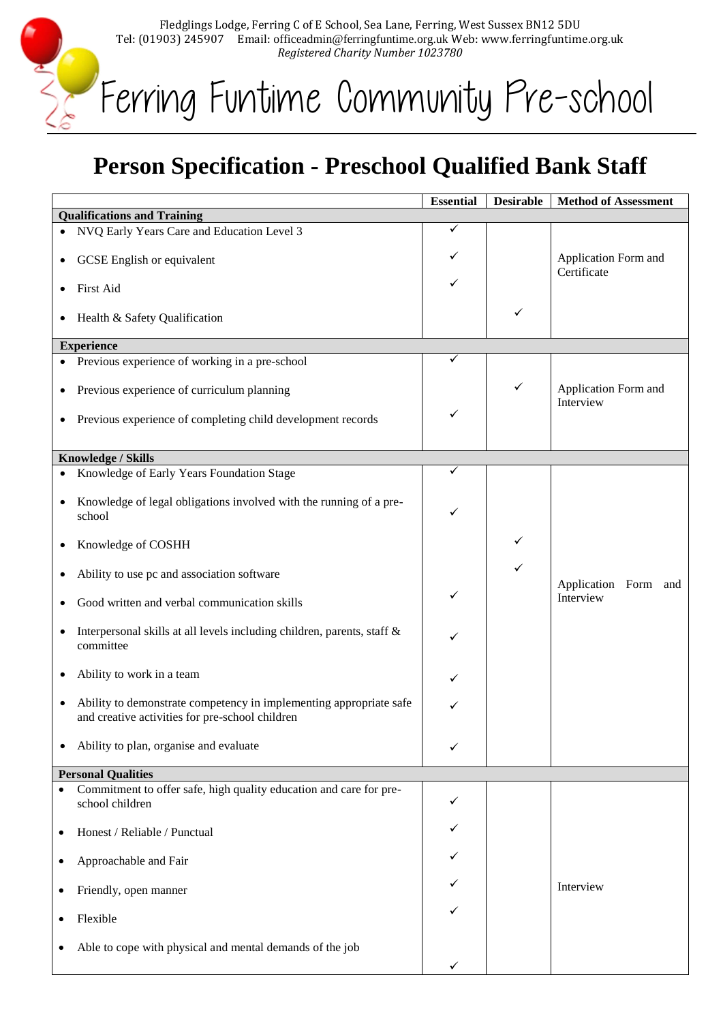Fledglings Lodge, Ferring C of E School, Sea Lane, Ferring, West Sussex BN12 5DU Tel: (01903) 245907 Email: officeadmin@ferringfuntime.org.uk Web: www.ferringfuntime.org.uk *Registered Charity Number 1023780*

Ferring Funtime Community Pre-school

MAG

## **Person Specification - Preschool Qualified Bank Staff**

|                                    |                                                                                                                       | <b>Essential</b> | <b>Desirable</b> | <b>Method of Assessment</b>         |  |  |
|------------------------------------|-----------------------------------------------------------------------------------------------------------------------|------------------|------------------|-------------------------------------|--|--|
| <b>Qualifications and Training</b> |                                                                                                                       |                  |                  |                                     |  |  |
|                                    | NVQ Early Years Care and Education Level 3                                                                            | ✓                |                  |                                     |  |  |
|                                    | GCSE English or equivalent                                                                                            | ✓                |                  | Application Form and<br>Certificate |  |  |
|                                    | First Aid                                                                                                             | ✓                |                  |                                     |  |  |
| ٠                                  | Health & Safety Qualification                                                                                         |                  | ✓                |                                     |  |  |
|                                    | <b>Experience</b>                                                                                                     |                  |                  |                                     |  |  |
|                                    | Previous experience of working in a pre-school                                                                        |                  |                  |                                     |  |  |
| $\bullet$                          | Previous experience of curriculum planning                                                                            |                  | ✓                | Application Form and<br>Interview   |  |  |
| ٠                                  | Previous experience of completing child development records                                                           | ✓                |                  |                                     |  |  |
|                                    | Knowledge / Skills                                                                                                    |                  |                  |                                     |  |  |
| $\bullet$                          | Knowledge of Early Years Foundation Stage                                                                             | ✓                |                  |                                     |  |  |
| $\bullet$                          | Knowledge of legal obligations involved with the running of a pre-<br>school                                          | ✓                |                  |                                     |  |  |
| ٠                                  | Knowledge of COSHH                                                                                                    |                  | ✓                |                                     |  |  |
|                                    | Ability to use pc and association software                                                                            |                  | ✓                | Application Form and                |  |  |
|                                    | Good written and verbal communication skills                                                                          |                  |                  | Interview                           |  |  |
| ٠                                  | Interpersonal skills at all levels including children, parents, staff &<br>committee                                  |                  |                  |                                     |  |  |
|                                    | Ability to work in a team                                                                                             |                  |                  |                                     |  |  |
| $\bullet$                          | Ability to demonstrate competency in implementing appropriate safe<br>and creative activities for pre-school children | ✓                |                  |                                     |  |  |
|                                    | Ability to plan, organise and evaluate                                                                                | ✓                |                  |                                     |  |  |
|                                    | <b>Personal Qualities</b>                                                                                             |                  |                  |                                     |  |  |
| $\bullet$                          | Commitment to offer safe, high quality education and care for pre-<br>school children                                 | ✓                |                  |                                     |  |  |
| ٠                                  | Honest / Reliable / Punctual                                                                                          |                  |                  |                                     |  |  |
| ٠                                  | Approachable and Fair                                                                                                 |                  |                  |                                     |  |  |
|                                    | Friendly, open manner                                                                                                 |                  |                  | Interview                           |  |  |
|                                    | Flexible                                                                                                              |                  |                  |                                     |  |  |
|                                    | Able to cope with physical and mental demands of the job                                                              | ✓                |                  |                                     |  |  |